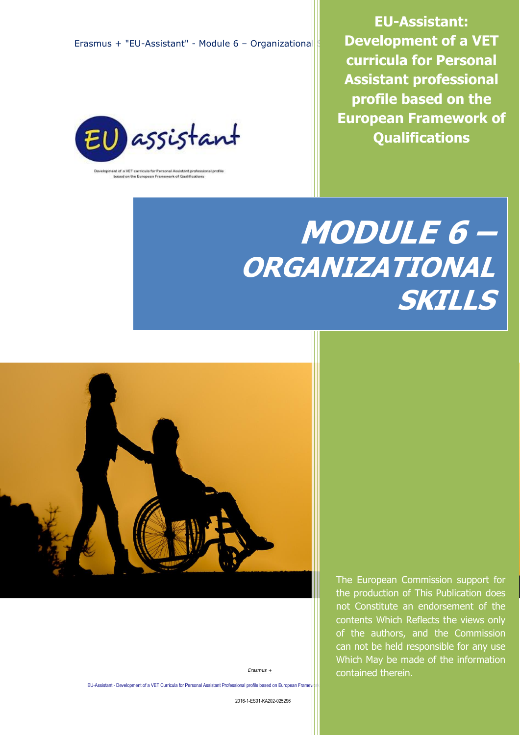Erasmus + "EU-Assistant" - Module  $6$  – Organizational



nt of a VET curricula for Personal Assistant professional profile<br>based on the European Framework of Qualifications

**EU-Assistant: Development of a VET curricula for Personal Assistant professional profile based on the European Framework of Qualifications**

# **MODULE 6 – ORGANIZATIONAL SKILLS**



*Erasmus +*

EU-Assistant - Development of a VET Curricula for Personal Assistant Professional profile based on European Frame

2016-1-ES01-KA202-025296

The European Commission support for the production of This Publication does not Constitute an endorsement of the contents Which Reflects the views only of the authors, and the Commission can not be held responsible for any use Which May be made of the information contained therein.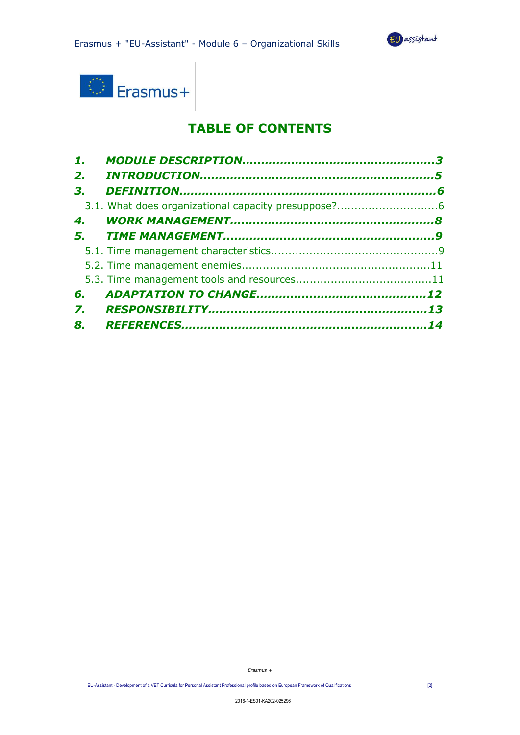



## **TABLE OF CONTENTS**

| 1. |  |
|----|--|
| 2. |  |
| 3. |  |
|    |  |
| 4. |  |
| 5. |  |
|    |  |
|    |  |
|    |  |
| 6. |  |
| 7. |  |
| 8. |  |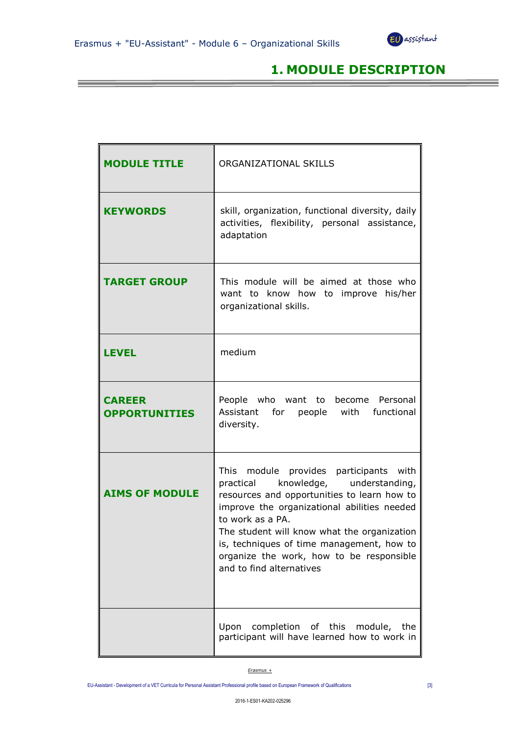*<b>b <b>b <i> <b>b <b><i>b b <b>b <b>b <b><i>b <b><i>b <b><i>b <b><i>b* 



## **1. MODULE DESCRIPTION**

| <b>MODULE TITLE</b>                   | ORGANIZATIONAL SKILLS                                                                                                                                                                                                                                                                                                                                                  |
|---------------------------------------|------------------------------------------------------------------------------------------------------------------------------------------------------------------------------------------------------------------------------------------------------------------------------------------------------------------------------------------------------------------------|
| <b>KEYWORDS</b>                       | skill, organization, functional diversity, daily<br>activities, flexibility, personal assistance,<br>adaptation                                                                                                                                                                                                                                                        |
| <b>TARGET GROUP</b>                   | This module will be aimed at those who<br>want to know how to improve his/her<br>organizational skills.                                                                                                                                                                                                                                                                |
| LEVEL                                 | medium                                                                                                                                                                                                                                                                                                                                                                 |
| <b>CAREER</b><br><b>OPPORTUNITIES</b> | People who want to become Personal<br>Assistant<br>for people with<br>functional<br>diversity.                                                                                                                                                                                                                                                                         |
| <b>AIMS OF MODULE</b>                 | module provides participants with<br>This<br>practical knowledge, understanding,<br>resources and opportunities to learn how to<br>improve the organizational abilities needed<br>to work as a PA.<br>The student will know what the organization<br>is, techniques of time management, how to<br>organize the work, how to be responsible<br>and to find alternatives |
|                                       | Upon completion of this module, the<br>participant will have learned how to work in                                                                                                                                                                                                                                                                                    |

*Erasmus +*

EU-Assistant - Development of a VET Curricula for Personal Assistant Professional profile based on European Framework of Qualifications [3]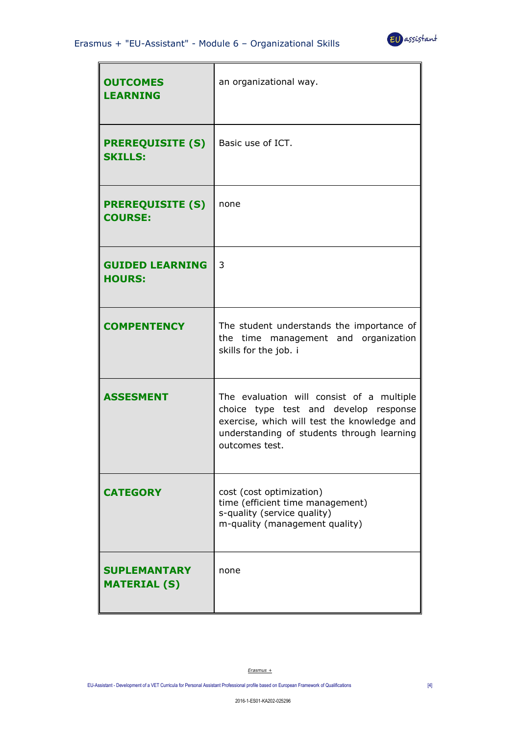

| <b>OUTCOMES</b><br><b>LEARNING</b>         | an organizational way.                                                                                                                                                                            |
|--------------------------------------------|---------------------------------------------------------------------------------------------------------------------------------------------------------------------------------------------------|
| <b>PREREQUISITE (S)</b><br><b>SKILLS:</b>  | Basic use of ICT.                                                                                                                                                                                 |
| <b>PREREQUISITE (S)</b><br><b>COURSE:</b>  | none                                                                                                                                                                                              |
| <b>GUIDED LEARNING</b><br><b>HOURS:</b>    | 3                                                                                                                                                                                                 |
| <b>COMPENTENCY</b>                         | The student understands the importance of<br>the time management and organization<br>skills for the job. i                                                                                        |
| <b>ASSESMENT</b>                           | The evaluation will consist of a multiple<br>choice type test and develop response<br>exercise, which will test the knowledge and<br>understanding of students through learning<br>outcomes test. |
| <b>CATEGORY</b>                            | cost (cost optimization)<br>time (efficient time management)<br>s-quality (service quality)<br>m-quality (management quality)                                                                     |
| <b>SUPLEMANTARY</b><br><b>MATERIAL (S)</b> | none                                                                                                                                                                                              |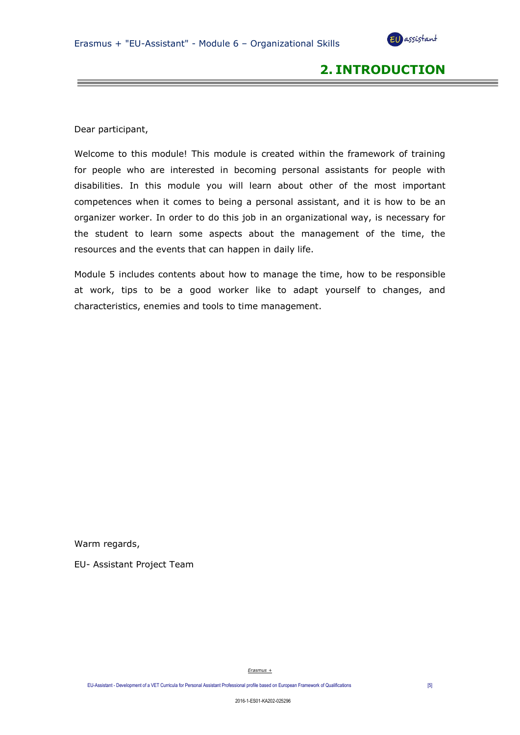

## **2. INTRODUCTION**

Dear participant,

Welcome to this module! This module is created within the framework of training for people who are interested in becoming personal assistants for people with disabilities. In this module you will learn about other of the most important competences when it comes to being a personal assistant, and it is how to be an organizer worker. In order to do this job in an organizational way, is necessary for the student to learn some aspects about the management of the time, the resources and the events that can happen in daily life.

Module 5 includes contents about how to manage the time, how to be responsible at work, tips to be a good worker like to adapt yourself to changes, and characteristics, enemies and tools to time management.

Warm regards,

EU- Assistant Project Team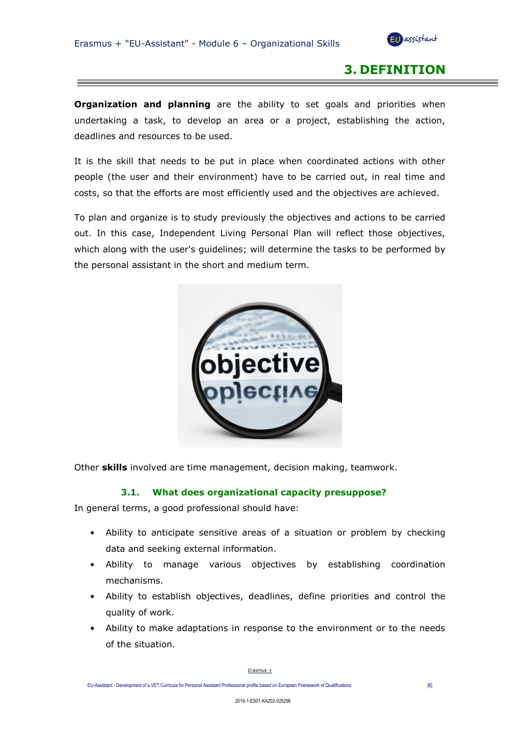

## **3. DEFINITION**

**Organization and planning** are the ability to set goals and priorities when undertaking a task, to develop an area or a project, establishing the action, deadlines and resources to be used.

It is the skill that needs to be put in place when coordinated actions with other people (the user and their environment) have to be carried out, in real time and costs, so that the efforts are most efficiently used and the objectives are achieved.

To plan and organize is to study previously the objectives and actions to be carried out. In this case, Independent Living Personal Plan will reflect those objectives, which along with the user's guidelines; will determine the tasks to be performed by the personal assistant in the short and medium term.



Other **skills** involved are time management, decision making, teamwork.

## **3.1. What does organizational capacity presuppose?**

In general terms, a good professional should have:

- Ability to anticipate sensitive areas of a situation or problem by checking data and seeking external information.
- Ability to manage various objectives by establishing coordination mechanisms.
- Ability to establish objectives, deadlines, define priorities and control the quality of work.
- Ability to make adaptations in response to the environment or to the needs of the situation.

*Erasmus +*

EU-Assistant - Development of a VET Curricula for Personal Assistant Professional profile based on European Framework of Qualifications [6]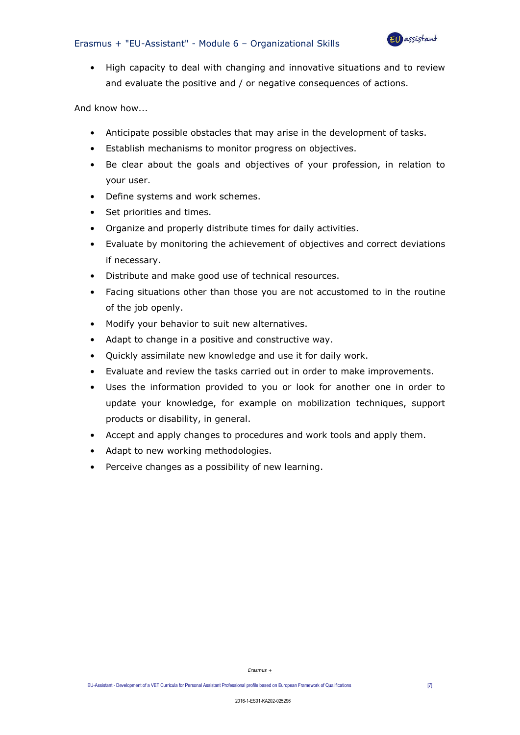## Erasmus + "EU-Assistant" - Module 6 – Organizational Skills



• High capacity to deal with changing and innovative situations and to review and evaluate the positive and / or negative consequences of actions.

And know how...

- Anticipate possible obstacles that may arise in the development of tasks.
- Establish mechanisms to monitor progress on objectives.
- Be clear about the goals and objectives of your profession, in relation to your user.
- Define systems and work schemes.
- Set priorities and times.
- Organize and properly distribute times for daily activities.
- Evaluate by monitoring the achievement of objectives and correct deviations if necessary.
- Distribute and make good use of technical resources.
- Facing situations other than those you are not accustomed to in the routine of the job openly.
- Modify your behavior to suit new alternatives.
- Adapt to change in a positive and constructive way.
- Quickly assimilate new knowledge and use it for daily work.
- Evaluate and review the tasks carried out in order to make improvements.
- Uses the information provided to you or look for another one in order to update your knowledge, for example on mobilization techniques, support products or disability, in general.
- Accept and apply changes to procedures and work tools and apply them.
- Adapt to new working methodologies.
- Perceive changes as a possibility of new learning.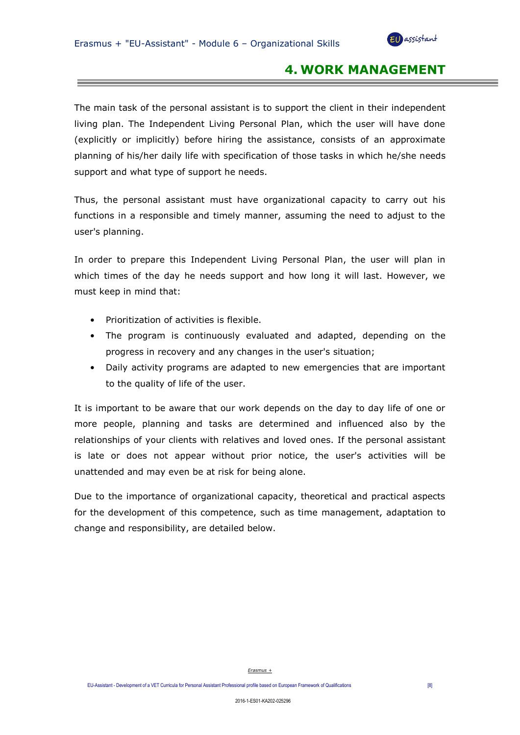

## **4. WORK MANAGEMENT**

The main task of the personal assistant is to support the client in their independent living plan. The Independent Living Personal Plan, which the user will have done (explicitly or implicitly) before hiring the assistance, consists of an approximate planning of his/her daily life with specification of those tasks in which he/she needs support and what type of support he needs.

Thus, the personal assistant must have organizational capacity to carry out his functions in a responsible and timely manner, assuming the need to adjust to the user's planning.

In order to prepare this Independent Living Personal Plan, the user will plan in which times of the day he needs support and how long it will last. However, we must keep in mind that:

- Prioritization of activities is flexible.
- The program is continuously evaluated and adapted, depending on the progress in recovery and any changes in the user's situation;
- Daily activity programs are adapted to new emergencies that are important to the quality of life of the user.

It is important to be aware that our work depends on the day to day life of one or more people, planning and tasks are determined and influenced also by the relationships of your clients with relatives and loved ones. If the personal assistant is late or does not appear without prior notice, the user's activities will be unattended and may even be at risk for being alone.

Due to the importance of organizational capacity, theoretical and practical aspects for the development of this competence, such as time management, adaptation to change and responsibility, are detailed below.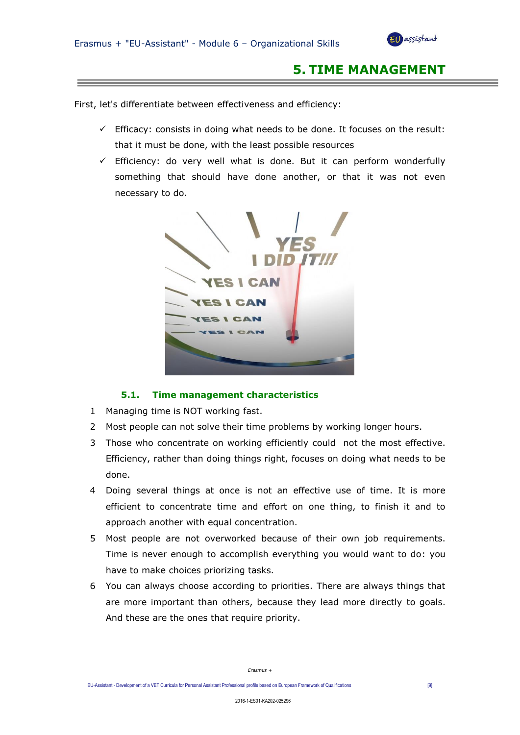

## **5. TIME MANAGEMENT**

First, let's differentiate between effectiveness and efficiency:

- ✓ Efficacy: consists in doing what needs to be done. It focuses on the result: that it must be done, with the least possible resources
- $\checkmark$  Efficiency: do very well what is done. But it can perform wonderfully something that should have done another, or that it was not even necessary to do.



## **5.1. Time management characteristics**

- 1 Managing time is NOT working fast.
- 2 Most people can not solve their time problems by working longer hours.
- 3 Those who concentrate on working efficiently could not the most effective. Efficiency, rather than doing things right, focuses on doing what needs to be done.
- 4 Doing several things at once is not an effective use of time. It is more efficient to concentrate time and effort on one thing, to finish it and to approach another with equal concentration.
- 5 Most people are not overworked because of their own job requirements. Time is never enough to accomplish everything you would want to do: you have to make choices priorizing tasks.
- 6 You can always choose according to priorities. There are always things that are more important than others, because they lead more directly to goals. And these are the ones that require priority.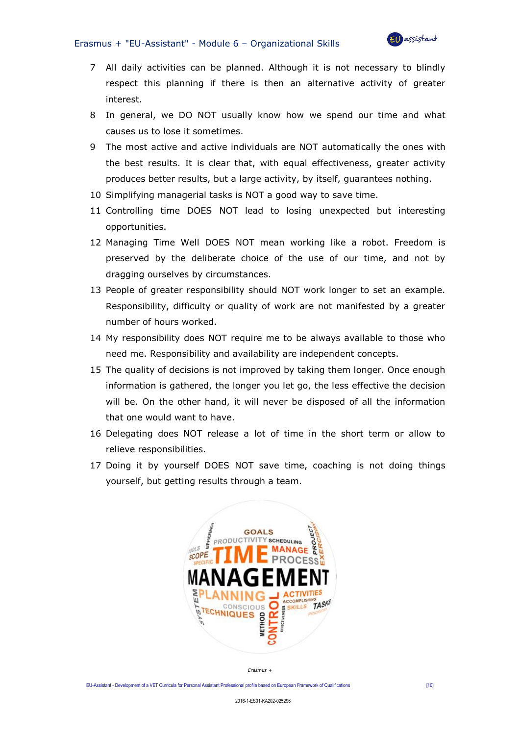# Erasmus + "EU-Assistant" - Module 6 – Organizational Skills



- 7 All daily activities can be planned. Although it is not necessary to blindly respect this planning if there is then an alternative activity of greater interest.
- 8 In general, we DO NOT usually know how we spend our time and what causes us to lose it sometimes.
- 9 The most active and active individuals are NOT automatically the ones with the best results. It is clear that, with equal effectiveness, greater activity produces better results, but a large activity, by itself, guarantees nothing.
- 10 Simplifying managerial tasks is NOT a good way to save time.
- 11 Controlling time DOES NOT lead to losing unexpected but interesting opportunities.
- 12 Managing Time Well DOES NOT mean working like a robot. Freedom is preserved by the deliberate choice of the use of our time, and not by dragging ourselves by circumstances.
- 13 People of greater responsibility should NOT work longer to set an example. Responsibility, difficulty or quality of work are not manifested by a greater number of hours worked.
- 14 My responsibility does NOT require me to be always available to those who need me. Responsibility and availability are independent concepts.
- 15 The quality of decisions is not improved by taking them longer. Once enough information is gathered, the longer you let go, the less effective the decision will be. On the other hand, it will never be disposed of all the information that one would want to have.
- 16 Delegating does NOT release a lot of time in the short term or allow to relieve responsibilities.
- 17 Doing it by yourself DOES NOT save time, coaching is not doing things yourself, but getting results through a team.



#### *Erasmus +*

EU-Assistant - Development of a VET Curricula for Personal Assistant Professional profile based on European Framework of Qualifications [10]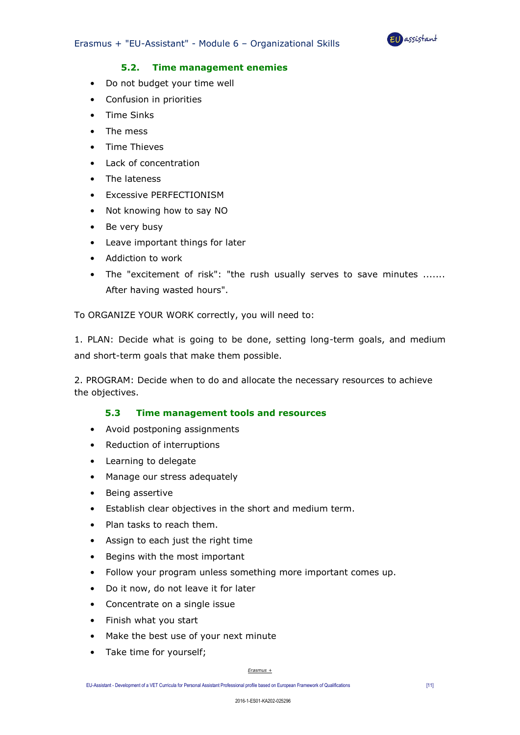

#### **5.2. Time management enemies**

- Do not budget your time well
- Confusion in priorities
- Time Sinks
- The mess
- Time Thieves
- Lack of concentration
- The lateness
- Excessive PERFECTIONISM
- Not knowing how to say NO
- Be very busy
- Leave important things for later
- Addiction to work
- The "excitement of risk": "the rush usually serves to save minutes ....... After having wasted hours".

To ORGANIZE YOUR WORK correctly, you will need to:

1. PLAN: Decide what is going to be done, setting long-term goals, and medium and short-term goals that make them possible.

2. PROGRAM: Decide when to do and allocate the necessary resources to achieve the objectives.

#### **5.3 Time management tools and resources**

- Avoid postponing assignments
- Reduction of interruptions
- Learning to delegate
- Manage our stress adequately
- Being assertive
- Establish clear objectives in the short and medium term.
- Plan tasks to reach them.
- Assign to each just the right time
- Begins with the most important
- Follow your program unless something more important comes up.
- Do it now, do not leave it for later
- Concentrate on a single issue
- Finish what you start
- Make the best use of your next minute
- Take time for yourself;

#### *Erasmus +*

EU-Assistant - Development of a VET Curricula for Personal Assistant Professional profile based on European Framework of Qualifications [11]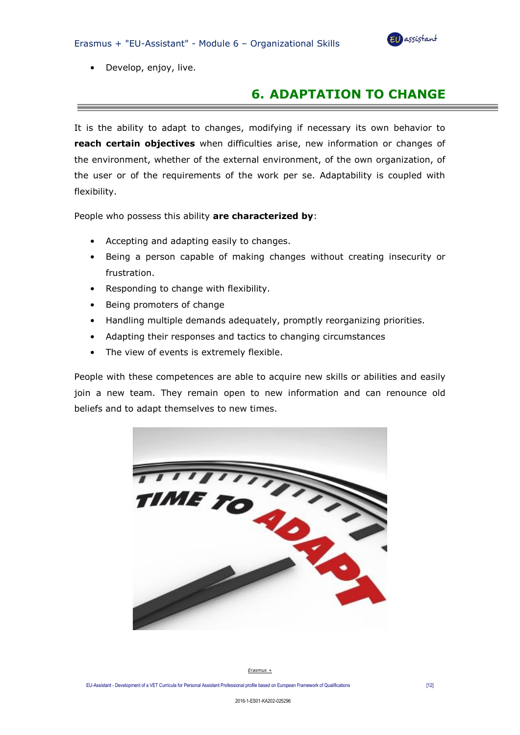

• Develop, enjoy, live.

## **6. ADAPTATION TO CHANGE**

It is the ability to adapt to changes, modifying if necessary its own behavior to **reach certain objectives** when difficulties arise, new information or changes of the environment, whether of the external environment, of the own organization, of the user or of the requirements of the work per se. Adaptability is coupled with flexibility.

People who possess this ability **are characterized by**:

- Accepting and adapting easily to changes.
- Being a person capable of making changes without creating insecurity or frustration.
- Responding to change with flexibility.
- Being promoters of change
- Handling multiple demands adequately, promptly reorganizing priorities.
- Adapting their responses and tactics to changing circumstances
- The view of events is extremely flexible.

People with these competences are able to acquire new skills or abilities and easily join a new team. They remain open to new information and can renounce old beliefs and to adapt themselves to new times.

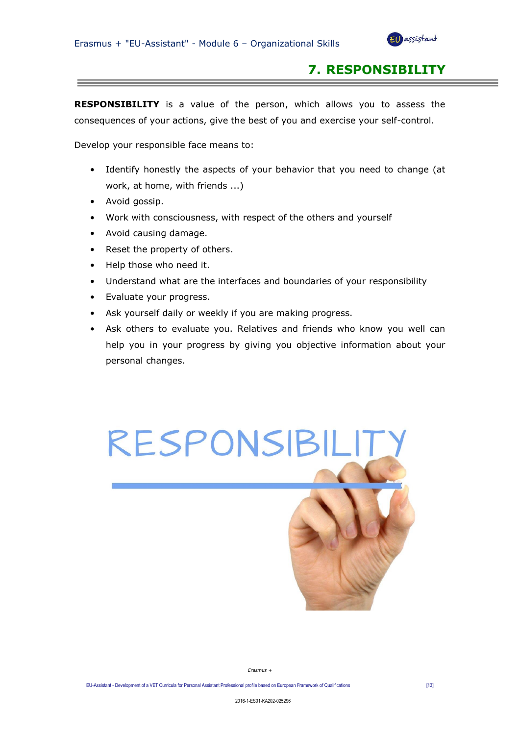

## **7. RESPONSIBILITY**

**RESPONSIBILITY** is a value of the person, which allows you to assess the consequences of your actions, give the best of you and exercise your self-control.

Develop your responsible face means to:

- Identify honestly the aspects of your behavior that you need to change (at work, at home, with friends ...)
- Avoid gossip.
- Work with consciousness, with respect of the others and yourself
- Avoid causing damage.
- Reset the property of others.
- Help those who need it.
- Understand what are the interfaces and boundaries of your responsibility
- Evaluate your progress.
- Ask yourself daily or weekly if you are making progress.
- Ask others to evaluate you. Relatives and friends who know you well can help you in your progress by giving you objective information about your personal changes.